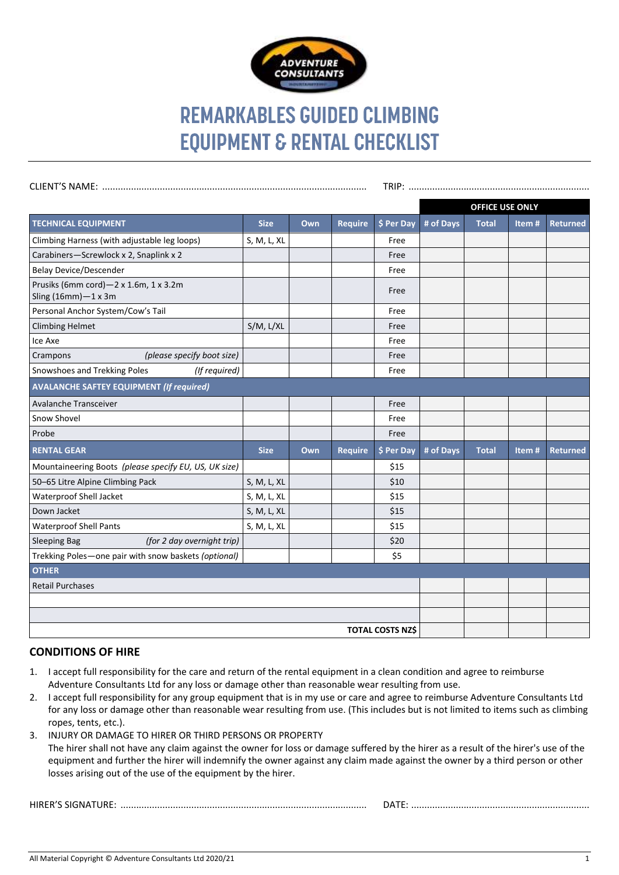

## **REMARKABLES GUIDED CLIMBING EQUIPMENT & RENTAL CHECKLIST**

|                                                                       |             |     |                |            | <b>OFFICE USE ONLY</b> |              |       |                 |
|-----------------------------------------------------------------------|-------------|-----|----------------|------------|------------------------|--------------|-------|-----------------|
| <b>TECHNICAL EQUIPMENT</b>                                            | <b>Size</b> | Own | <b>Require</b> | \$ Per Day | # of Days              | <b>Total</b> | Item# | <b>Returned</b> |
| Climbing Harness (with adjustable leg loops)                          | S, M, L, XL |     |                | Free       |                        |              |       |                 |
| Carabiners-Screwlock x 2, Snaplink x 2                                |             |     |                | Free       |                        |              |       |                 |
| <b>Belay Device/Descender</b>                                         |             |     |                | Free       |                        |              |       |                 |
| Prusiks (6mm cord)-2 x 1.6m, 1 x 3.2m<br>Sling $(16mm) - 1 \times 3m$ |             |     |                | Free       |                        |              |       |                 |
| Personal Anchor System/Cow's Tail                                     |             |     |                | Free       |                        |              |       |                 |
| <b>Climbing Helmet</b>                                                | S/M, L/XL   |     |                | Free       |                        |              |       |                 |
| Ice Axe                                                               |             |     |                | Free       |                        |              |       |                 |
| (please specify boot size)<br>Crampons                                |             |     |                | Free       |                        |              |       |                 |
| Snowshoes and Trekking Poles<br>(If required)                         |             |     |                | Free       |                        |              |       |                 |
| <b>AVALANCHE SAFTEY EQUIPMENT (If required)</b>                       |             |     |                |            |                        |              |       |                 |
| Avalanche Transceiver                                                 |             |     |                | Free       |                        |              |       |                 |
| Snow Shovel                                                           |             |     |                | Free       |                        |              |       |                 |
| Probe                                                                 |             |     |                | Free       |                        |              |       |                 |
| <b>RENTAL GEAR</b>                                                    | <b>Size</b> | Own | <b>Require</b> | \$ Per Day | # of Days              | <b>Total</b> | Item# | <b>Returned</b> |
| Mountaineering Boots (please specify EU, US, UK size)                 |             |     |                | \$15       |                        |              |       |                 |
| 50-65 Litre Alpine Climbing Pack                                      | S, M, L, XL |     |                | \$10       |                        |              |       |                 |
| Waterproof Shell Jacket                                               | S, M, L, XL |     |                | \$15       |                        |              |       |                 |
| Down Jacket                                                           | S, M, L, XL |     |                | \$15       |                        |              |       |                 |
| <b>Waterproof Shell Pants</b>                                         | S, M, L, XL |     |                | \$15       |                        |              |       |                 |
| (for 2 day overnight trip)<br><b>Sleeping Bag</b>                     |             |     |                | \$20       |                        |              |       |                 |
| Trekking Poles-one pair with snow baskets (optional)                  |             |     |                | \$5        |                        |              |       |                 |
| <b>OTHER</b>                                                          |             |     |                |            |                        |              |       |                 |
| <b>Retail Purchases</b>                                               |             |     |                |            |                        |              |       |                 |
|                                                                       |             |     |                |            |                        |              |       |                 |
|                                                                       |             |     |                |            |                        |              |       |                 |
| <b>TOTAL COSTS NZ\$</b>                                               |             |     |                |            |                        |              |       |                 |

## **CONDITIONS OF HIRE**

- 1. I accept full responsibility for the care and return of the rental equipment in a clean condition and agree to reimburse Adventure Consultants Ltd for any loss or damage other than reasonable wear resulting from use.
- 2. I accept full responsibility for any group equipment that is in my use or care and agree to reimburse Adventure Consultants Ltd for any loss or damage other than reasonable wear resulting from use. (This includes but is not limited to items such as climbing ropes, tents, etc.).
- 3. INJURY OR DAMAGE TO HIRER OR THIRD PERSONS OR PROPERTY The hirer shall not have any claim against the owner for loss or damage suffered by the hirer as a result of the hirer's use of the equipment and further the hirer will indemnify the owner against any claim made against the owner by a third person or other losses arising out of the use of the equipment by the hirer.

HIRER'S SIGNATURE: .............................................................................................. DATE: ....................................................................